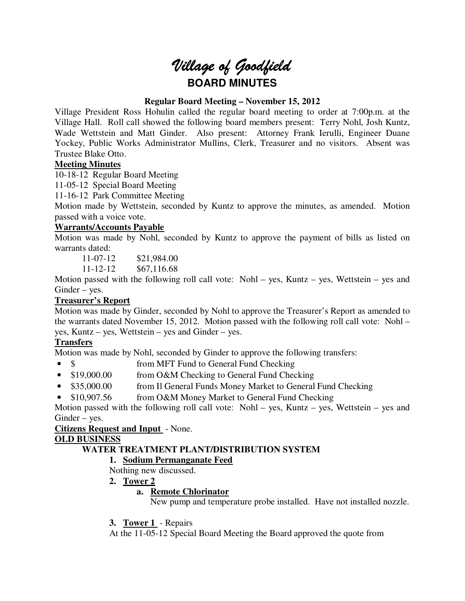# *Village of Goodfield* **BOARD MINUTES**

## **Regular Board Meeting – November 15, 2012**

Village President Ross Hohulin called the regular board meeting to order at 7:00p.m. at the Village Hall. Roll call showed the following board members present: Terry Nohl, Josh Kuntz, Wade Wettstein and Matt Ginder. Also present: Attorney Frank Ierulli, Engineer Duane Yockey, Public Works Administrator Mullins, Clerk, Treasurer and no visitors. Absent was Trustee Blake Otto.

## **Meeting Minutes**

10-18-12 Regular Board Meeting

11-05-12 Special Board Meeting

11-16-12 Park Committee Meeting

Motion made by Wettstein, seconded by Kuntz to approve the minutes, as amended. Motion passed with a voice vote.

## **Warrants/Accounts Payable**

Motion was made by Nohl, seconded by Kuntz to approve the payment of bills as listed on warrants dated:

11-07-12 \$21,984.00

11-12-12 \$67,116.68

Motion passed with the following roll call vote: Nohl – yes, Kuntz – yes, Wettstein – yes and Ginder – yes.

# **Treasurer's Report**

Motion was made by Ginder, seconded by Nohl to approve the Treasurer's Report as amended to the warrants dated November 15, 2012. Motion passed with the following roll call vote: Nohl – yes, Kuntz – yes, Wettstein – yes and Ginder – yes.

# **Transfers**

Motion was made by Nohl, seconded by Ginder to approve the following transfers:

- \$ from MFT Fund to General Fund Checking
- \$19,000.00 from O&M Checking to General Fund Checking
- \$35,000.00 from Il General Funds Money Market to General Fund Checking
- \$10,907.56 from O&M Money Market to General Fund Checking

Motion passed with the following roll call vote: Nohl – yes, Kuntz – yes, Wettstein – yes and Ginder – yes.

## **Citizens Request and Input** - None.

## **OLD BUSINESS**

# **WATER TREATMENT PLANT/DISTRIBUTION SYSTEM**

# **1. Sodium Permanganate Feed**

Nothing new discussed.

**2. Tower 2** 

## **a. Remote Chlorinator**

New pump and temperature probe installed. Have not installed nozzle.

**3. Tower 1** - Repairs

At the 11-05-12 Special Board Meeting the Board approved the quote from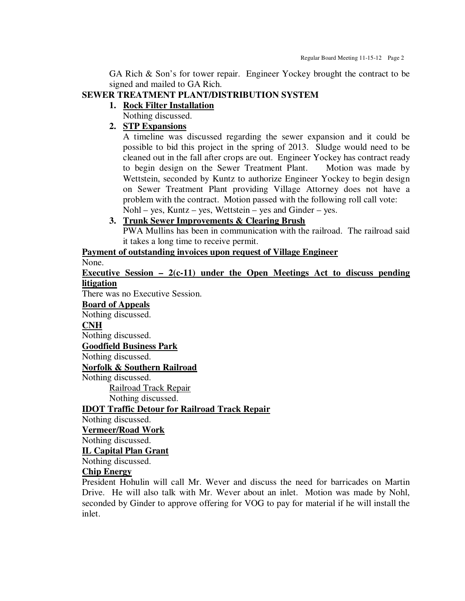GA Rich & Son's for tower repair. Engineer Yockey brought the contract to be signed and mailed to GA Rich.

## **SEWER TREATMENT PLANT/DISTRIBUTION SYSTEM**

## **1. Rock Filter Installation**

Nothing discussed.

# **2. STP Expansions**

A timeline was discussed regarding the sewer expansion and it could be possible to bid this project in the spring of 2013. Sludge would need to be cleaned out in the fall after crops are out. Engineer Yockey has contract ready to begin design on the Sewer Treatment Plant. Motion was made by Wettstein, seconded by Kuntz to authorize Engineer Yockey to begin design on Sewer Treatment Plant providing Village Attorney does not have a problem with the contract. Motion passed with the following roll call vote: Nohl – yes, Kuntz – yes, Wettstein – yes and Ginder – yes.

## **3. Trunk Sewer Improvements & Clearing Brush**  PWA Mullins has been in communication with the railroad. The railroad said it takes a long time to receive permit.

# **Payment of outstanding invoices upon request of Village Engineer**

None.

**Executive Session – 2(c-11) under the Open Meetings Act to discuss pending litigation** 

There was no Executive Session.

**Board of Appeals** 

Nothing discussed.

## **CNH**

Nothing discussed.

**Goodfield Business Park** 

Nothing discussed.

**Norfolk & Southern Railroad** 

Nothing discussed.

Railroad Track Repair Nothing discussed.

**IDOT Traffic Detour for Railroad Track Repair** 

Nothing discussed.

## **Vermeer/Road Work**

Nothing discussed.

**IL Capital Plan Grant** 

Nothing discussed.

## **Chip Energy**

President Hohulin will call Mr. Wever and discuss the need for barricades on Martin Drive. He will also talk with Mr. Wever about an inlet. Motion was made by Nohl, seconded by Ginder to approve offering for VOG to pay for material if he will install the inlet.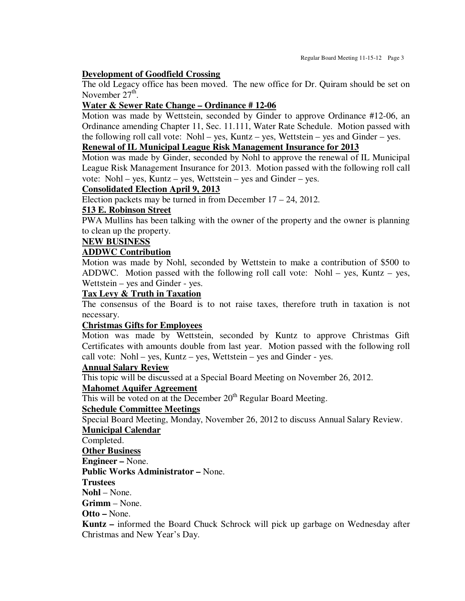#### **Development of Goodfield Crossing**

The old Legacy office has been moved. The new office for Dr. Quiram should be set on November  $27<sup>th</sup>$ .

## **Water & Sewer Rate Change – Ordinance # 12-06**

Motion was made by Wettstein, seconded by Ginder to approve Ordinance #12-06, an Ordinance amending Chapter 11, Sec. 11.111, Water Rate Schedule. Motion passed with the following roll call vote: Nohl – yes, Kuntz – yes, Wettstein – yes and Ginder – yes.

# **Renewal of IL Municipal League Risk Management Insurance for 2013**

Motion was made by Ginder, seconded by Nohl to approve the renewal of IL Municipal League Risk Management Insurance for 2013. Motion passed with the following roll call vote: Nohl – yes, Kuntz – yes, Wettstein – yes and Ginder – yes.

## **Consolidated Election April 9, 2013**

Election packets may be turned in from December 17 – 24, 2012.

## **513 E. Robinson Street**

PWA Mullins has been talking with the owner of the property and the owner is planning to clean up the property.

## **NEW BUSINESS**

## **ADDWC Contribution**

Motion was made by Nohl, seconded by Wettstein to make a contribution of \$500 to ADDWC. Motion passed with the following roll call vote: Nohl – yes, Kuntz – yes, Wettstein – yes and Ginder - yes.

## **Tax Levy & Truth in Taxation**

The consensus of the Board is to not raise taxes, therefore truth in taxation is not necessary.

## **Christmas Gifts for Employees**

Motion was made by Wettstein, seconded by Kuntz to approve Christmas Gift Certificates with amounts double from last year. Motion passed with the following roll call vote: Nohl – yes, Kuntz – yes, Wettstein – yes and Ginder - yes.

#### **Annual Salary Review**

This topic will be discussed at a Special Board Meeting on November 26, 2012.

## **Mahomet Aquifer Agreement**

This will be voted on at the December  $20<sup>th</sup>$  Regular Board Meeting.

#### **Schedule Committee Meetings**

Special Board Meeting, Monday, November 26, 2012 to discuss Annual Salary Review.

#### **Municipal Calendar**

Completed.

## **Other Business**

**Engineer –** None.

**Public Works Administrator –** None.

#### **Trustees**

**Nohl** – None.

**Grimm** – None.

#### **Otto –** None.

**Kuntz –** informed the Board Chuck Schrock will pick up garbage on Wednesday after Christmas and New Year's Day.